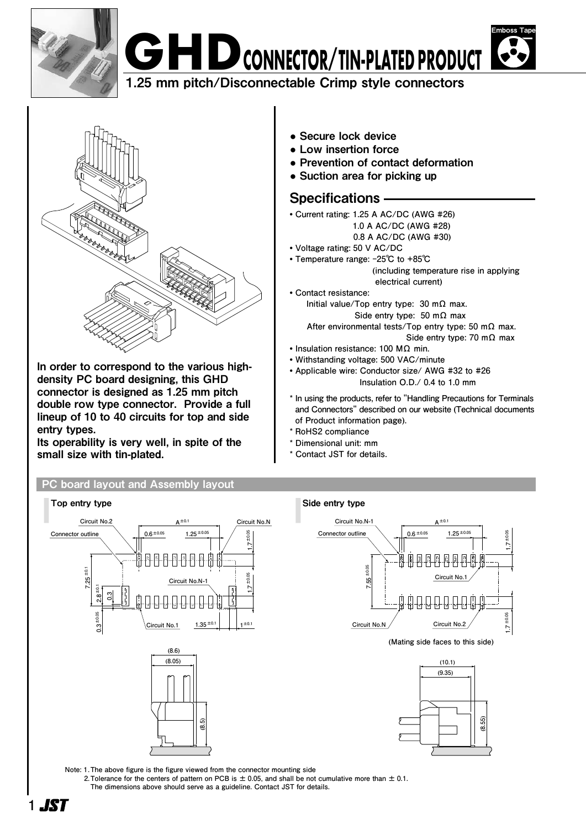



1.25 mm pitch/Disconnectable Crimp style connectors



In order to correspond to the various highdensity PC board designing, this GHD connector is designed as 1.25 mm pitch double row type connector. Provide a full lineup of 10 to 40 circuits for top and side entry types.

Its operability is very well, in spite of the small size with tin-plated.

### PC board layout and Assembly layout

Top entry type  $\Box$  Top entry type  $\Box$ **Circuit No.2 Circuit No.N A±0.1**  $1.25 \pm 0.05$ Connector outline **Connector outline Connector outline Connector outline 1.7 ±0.05** 廿世 **7.25 ±0.1 1.7 ±0.05 ±0.1 0.3 2.8 0.3 ±0.05**  $1.35 \pm 0.1$ **Circuit No.1 Circuit No.N 1±0.1 (8.6) (8.05) (8.5)**

**●** Secure lock device

- **●** Low insertion force
- **●** Prevention of contact deformation
- **●** Suction area for picking up

## Specifications

- **• Current rating: 1.25 A AC/DC (AWG #26)**
	- **1.0 A AC/DC (AWG #28)**
	- **0.8 A AC/DC (AWG #30)**
- **• Voltage rating: 50 V AC/DC**
- **• Temperature range: -25℃ to +85℃ (including temperature rise in applying electrical current)**
- **• Contact resistance: Initial value/Top entry type: 30 mΩ max. Side entry type: 50 mΩ max**
	- **After environmental tests/Top entry type: 50 mΩ max. Side entry type: 70 mΩ max**
- **• Insulation resistance: 100 MΩ min.**
- **• Withstanding voltage: 500 VAC/minute**
- **• Applicable wire: Conductor size/ AWG #32 to #26 Insulation O.D./ 0.4 to 1.0 mm**
- **\* In using the products, refer to "Handling Precautions for Terminals and Connectors" described on our website (Technical documents of Product information page).**
- **\* RoHS2 compliance**
- **\* Dimensional unit: mm**
- Contact **JST** for details.



**(Mating side faces to this side)**



**Note: 1.The above figure is the figure viewed from the connector mounting side**

- **2.Tolerance for the centers of pattern on PCB is ± 0.05, and shall be not cumulative more than ± 0.1.**
- **The dimensions above should serve as a guideline. Contact JST for details.**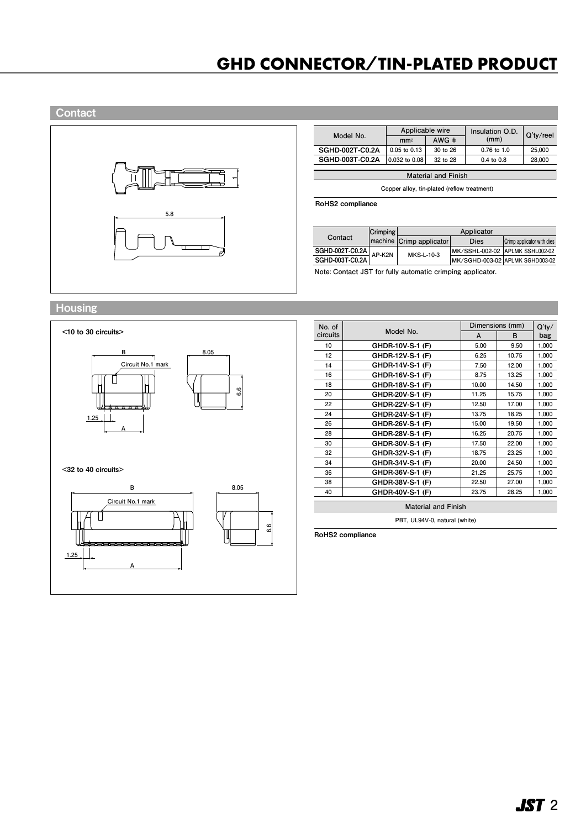# **GHD CONNECTOR/TIN-PLATED PRODUCT**

### **Contact**



| Model No.              | Applicable wire  |          | Insulation O.D. | Q'ty/reel |
|------------------------|------------------|----------|-----------------|-----------|
|                        | mm <sup>2</sup>  | AWG#     | (mm)            |           |
| <b>SGHD-002T-C0.2A</b> | $0.05$ to $0.13$ | 30 to 26 | 0.76 to 1.0     | 25.000    |
| <b>SGHD-003T-C0.2A</b> | 0.032 to 0.08    | 32 to 28 | $0.4$ to $0.8$  | 28,000    |
|                        |                  |          |                 |           |

**Material and Finish**

**Copper alloy, tin-plated (reflow treatment)**

RoHS2 compliance

|  |                                                | Crimping |                           | Applicator                      |                            |
|--|------------------------------------------------|----------|---------------------------|---------------------------------|----------------------------|
|  | Contact                                        |          | Imachine Crimp applicator | Dies                            | Crimp applicator with dies |
|  | $\frac{\text{SGHD-002T-C0.2A}}{\text{AP-K2N}}$ |          | MKS-L-10-3                | MK/SSHL-002-02 APLMK SSHL002-02 |                            |
|  | SGHD-003T-C0.2A                                |          |                           | MK/SGHD-003-02 APLMK SGHD003-02 |                            |

**Note:  Contact JST for fully automatic crimping applicator.**

#### **Housing**



## <32 to 40 circuits>



| No. of   |                            |       | Dimensions (mm) | $Q'$ ty/ |
|----------|----------------------------|-------|-----------------|----------|
| circuits | Model No.                  | A     | в               | bag      |
| 10       | GHDR-10V-S-1 (F)           | 5.00  | 9.50            | 1,000    |
| 12       | GHDR-12V-S-1 (F)           | 6.25  | 10.75           | 1,000    |
| 14       | GHDR-14V-S-1 (F)           | 7.50  | 12.00           | 1.000    |
| 16       | GHDR-16V-S-1 (F)           | 8.75  | 13.25           | 1,000    |
| 18       | GHDR-18V-S-1 (F)           | 10.00 | 14.50           | 1,000    |
| 20       | GHDR-20V-S-1 (F)           | 11.25 | 15.75           | 1,000    |
| 22       | GHDR-22V-S-1 (F)           | 12.50 | 17.00           | 1,000    |
| 24       | GHDR-24V-S-1 (F)           | 13.75 | 18.25           | 1,000    |
| 26       | GHDR-26V-S-1 (F)           | 15.00 | 19.50           | 1,000    |
| 28       | GHDR-28V-S-1 (F)           | 16.25 | 20.75           | 1.000    |
| 30       | GHDR-30V-S-1 (F)           | 17.50 | 22.00           | 1,000    |
| 32       | GHDR-32V-S-1 (F)           | 18.75 | 23.25           | 1,000    |
| 34       | GHDR-34V-S-1 (F)           | 20.00 | 24.50           | 1,000    |
| 36       | GHDR-36V-S-1 (F)           | 21.25 | 25.75           | 1,000    |
| 38       | GHDR-38V-S-1 (F)           | 22.50 | 27.00           | 1,000    |
| 40       | GHDR-40V-S-1 (F)           | 23.75 | 28.25           | 1,000    |
|          | <b>Material and Finish</b> |       |                 |          |

**PBT, UL94V-0, natural (white)**

RoHS2 compliance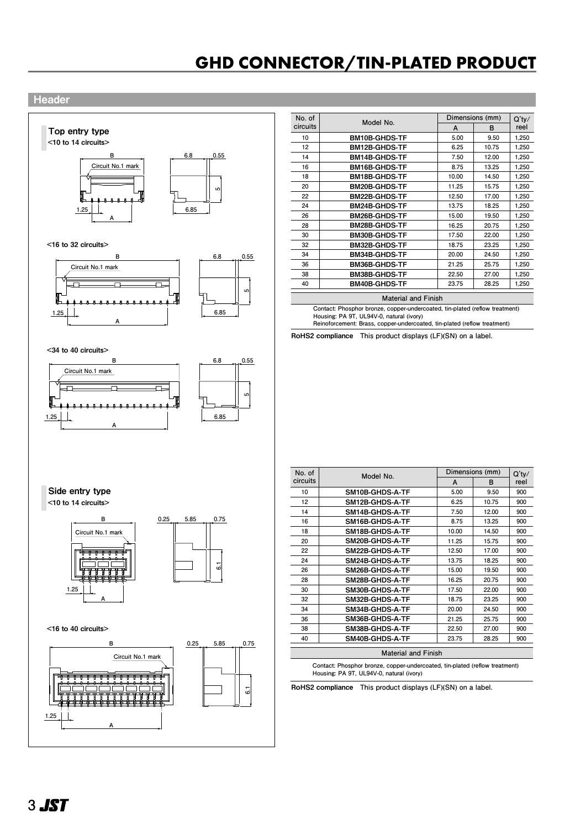# **GHD CONNECTOR/TIN-PLATED PRODUCT GHD CONNECTOR/TIN-PLATED PRODUCT**

#### **Header**



<16 to 32 circuits>





**A B Model No. No. of circuits Dimensions (mm) Q'ty/ reel 10 12 14 16 18 20 22 24 26 28 30 32 34 36 38 40 5.00 6.25 7.50 8.75 10.00 11.25 12.50 13.75 15.00 16.25 17.50 18.75 20.00 21.25 22.50 23.75 9.50 10.75 12.00 13.25 14.50 15.75 17.00 18.25 19.50 20.75 22.00 23.25 24.50 25.75 27.00 28.25 1,250 1,250 1,250 1,250 1,250 1,250 1,250 1,250 1,250 1,250 1,250 1,250 1,250 1,250 1,250 1,250** BM10B-GHDS-TF BM12B-GHDS-TF BM14B-GHDS-TF BM16B-GHDS-TF BM18B-GHDS-TF BM20B-GHDS-TF BM22B-GHDS-TF BM24B-GHDS-TF BM26B-GHDS-TF BM28B-GHDS-TF BM30B-GHDS-TF BM32B-GHDS-TF BM34B-GHDS-TF BM36B-GHDS-TF BM38B-GHDS-TF BM40B-GHDS-TF

**Material and Finish**

**Contact: Phosphor bronze, copper-undercoated, tin-plated (reflow treatment) Housing: PA 9T, UL94V-0, natural (ivory) Reinoforcement: Brass, copper-undercoated, tin-plated (reflow treatment)** 

RoHS2 compliance **This product displays (LF)(SN) on a label.**

<34 to 40 circuits>





| No. of   | Model No.                  | Dimensions (mm)<br>A |       | $Q'$ ty/ |
|----------|----------------------------|----------------------|-------|----------|
| circuits |                            |                      | в     | reel     |
| 10       | <b>SM10B-GHDS-A-TF</b>     | 5.00                 | 9.50  | 900      |
| 12       | <b>SM12B-GHDS-A-TF</b>     | 6.25                 | 10.75 | 900      |
| 14       | <b>SM14B-GHDS-A-TF</b>     | 7.50                 | 12.00 | 900      |
| 16       | SM16B-GHDS-A-TF            | 8.75                 | 13.25 | 900      |
| 18       | SM18B-GHDS-A-TF            | 10.00                | 14.50 | 900      |
| 20       | <b>SM20B-GHDS-A-TF</b>     | 11.25                | 15.75 | 900      |
| 22       | <b>SM22B-GHDS-A-TF</b>     | 12.50                | 17.00 | 900      |
| 24       | <b>SM24B-GHDS-A-TF</b>     | 13.75                | 18.25 | 900      |
| 26       | <b>SM26B-GHDS-A-TF</b>     | 15.00                | 19.50 | 900      |
| 28       | <b>SM28B-GHDS-A-TF</b>     | 16.25                | 20.75 | 900      |
| 30       | <b>SM30B-GHDS-A-TF</b>     | 17.50                | 22.00 | 900      |
| 32       | <b>SM32B-GHDS-A-TF</b>     | 18.75                | 23.25 | 900      |
| 34       | <b>SM34B-GHDS-A-TF</b>     | 20.00                | 24.50 | 900      |
| 36       | SM36B-GHDS-A-TF            | 21.25                | 25.75 | 900      |
| 38       | <b>SM38B-GHDS-A-TF</b>     | 22.50                | 27.00 | 900      |
| 40       | SM40B-GHDS-A-TF            | 23.75                | 28.25 | 900      |
|          | <b>Material and Finish</b> |                      |       |          |

**Contact: Phosphor bronze, copper-undercoated, tin-plated (reflow treatment) Housing: PA 9T, UL94V-0, natural (ivory)**

RoHS2 compliance **This product displays (LF)(SN) on a label.**

**A** Side entry type

<10 to 14 circuits>



<16 to 40 circuits>